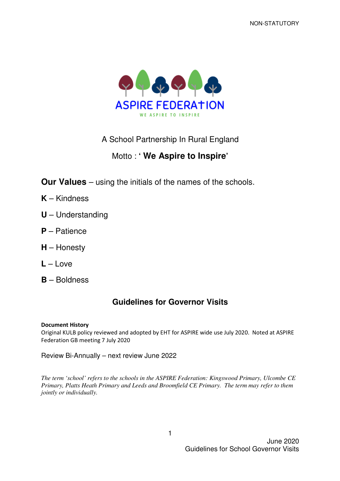

## A School Partnership In Rural England

## Motto : **' We Aspire to Inspire'**

**Our Values** – using the initials of the names of the schools.

- **K** Kindness
- **U** Understanding
- **P** Patience
- **H** Honesty
- **L** Love
- **B** Boldness

### **Guidelines for Governor Visits**

#### Document History

Original KULB policy reviewed and adopted by EHT for ASPIRE wide use July 2020. Noted at ASPIRE Federation GB meeting 7 July 2020

Review Bi-Annually – next review June 2022

*The term 'school' refers to the schools in the ASPIRE Federation: Kingswood Primary, Ulcombe CE Primary, Platts Heath Primary and Leeds and Broomfield CE Primary. The term may refer to them jointly or individually.*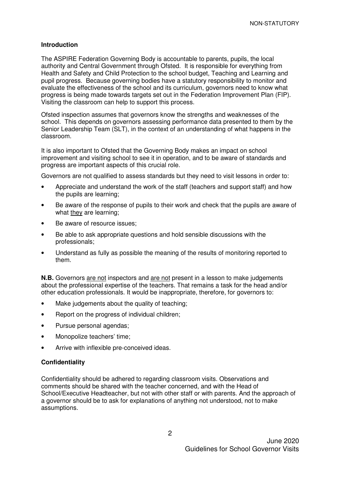#### **Introduction**

The ASPIRE Federation Governing Body is accountable to parents, pupils, the local authority and Central Government through Ofsted. It is responsible for everything from Health and Safety and Child Protection to the school budget, Teaching and Learning and pupil progress. Because governing bodies have a statutory responsibility to monitor and evaluate the effectiveness of the school and its curriculum, governors need to know what progress is being made towards targets set out in the Federation Improvement Plan (FIP). Visiting the classroom can help to support this process.

Ofsted inspection assumes that governors know the strengths and weaknesses of the school. This depends on governors assessing performance data presented to them by the Senior Leadership Team (SLT), in the context of an understanding of what happens in the classroom.

It is also important to Ofsted that the Governing Body makes an impact on school improvement and visiting school to see it in operation, and to be aware of standards and progress are important aspects of this crucial role.

Governors are not qualified to assess standards but they need to visit lessons in order to:

- Appreciate and understand the work of the staff (teachers and support staff) and how the pupils are learning;
- Be aware of the response of pupils to their work and check that the pupils are aware of what they are learning;
- Be aware of resource issues:
- Be able to ask appropriate questions and hold sensible discussions with the professionals;
- Understand as fully as possible the meaning of the results of monitoring reported to them.

**N.B.** Governors are not inspectors and are not present in a lesson to make judgements about the professional expertise of the teachers. That remains a task for the head and/or other education professionals. It would be inappropriate, therefore, for governors to:

- Make judgements about the quality of teaching;
- Report on the progress of individual children;
- Pursue personal agendas:
- Monopolize teachers' time:
- Arrive with inflexible pre-conceived ideas.

#### **Confidentiality**

Confidentiality should be adhered to regarding classroom visits. Observations and comments should be shared with the teacher concerned, and with the Head of School/Executive Headteacher, but not with other staff or with parents. And the approach of a governor should be to ask for explanations of anything not understood, not to make assumptions.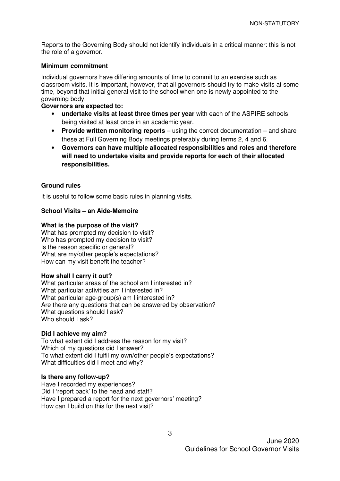Reports to the Governing Body should not identify individuals in a critical manner: this is not the role of a governor.

#### **Minimum commitment**

Individual governors have differing amounts of time to commit to an exercise such as classroom visits. It is important, however, that all governors should try to make visits at some time, beyond that initial general visit to the school when one is newly appointed to the governing body.

#### **Governors are expected to:**

- **undertake visits at least three times per year** with each of the ASPIRE schools being visited at least once in an academic year.
- **Provide written monitoring reports** using the correct documentation and share these at Full Governing Body meetings preferably during terms 2, 4 and 6.
- **Governors can have multiple allocated responsibilities and roles and therefore will need to undertake visits and provide reports for each of their allocated responsibilities.**

#### **Ground rules**

It is useful to follow some basic rules in planning visits.

#### **School Visits – an Aide-Memoire**

#### **What is the purpose of the visit?**

What has prompted my decision to visit? Who has prompted my decision to visit? Is the reason specific or general? What are my/other people's expectations? How can my visit benefit the teacher?

#### **How shall I carry it out?**

What particular areas of the school am I interested in? What particular activities am I interested in? What particular age-group(s) am I interested in? Are there any questions that can be answered by observation? What questions should I ask? Who should I ask?

#### **Did I achieve my aim?**

To what extent did I address the reason for my visit? Which of my questions did I answer? To what extent did I fulfil my own/other people's expectations? What difficulties did I meet and why?

#### **Is there any follow-up?**

Have I recorded my experiences? Did I 'report back' to the head and staff? Have I prepared a report for the next governors' meeting? How can I build on this for the next visit?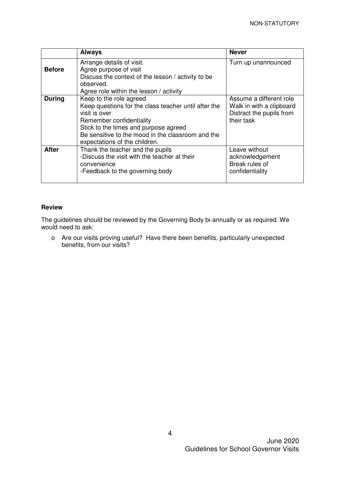|               | <b>Always</b>                                                                                                                                                                                                                                               | <b>Never</b>                                                                                  |
|---------------|-------------------------------------------------------------------------------------------------------------------------------------------------------------------------------------------------------------------------------------------------------------|-----------------------------------------------------------------------------------------------|
| <b>Before</b> | Arrange details of visit.<br>Agree purpose of visit<br>Discuss the context of the lesson / activity to be<br>observed.<br>Agree role within the lesson / activity                                                                                           | Turn up unannounced                                                                           |
| <b>During</b> | Keep to the role agreed<br>Keep questions for the class teacher until after the<br>visit is over<br>Remember confidentiality<br>Stick to the times and purpose agreed<br>Be sensitive to the mood in the classroom and the<br>expectations of the children. | Assume a different role<br>Walk in with a clipboard<br>Distract the pupils from<br>their task |
| <b>After</b>  | Thank the teacher and the pupils<br>-Discuss the visit with the teacher at their<br>convenience<br>-Feedback to the governing body                                                                                                                          | Leave without<br>acknowledgement<br>Break rules of<br>confidentiality                         |

#### **Review**

The guidelines should be reviewed by the Governing Body bi-annually or as required. We would need to ask:

o Are our visits proving useful? Have there been benefits, particularly unexpected benefits, from our visits?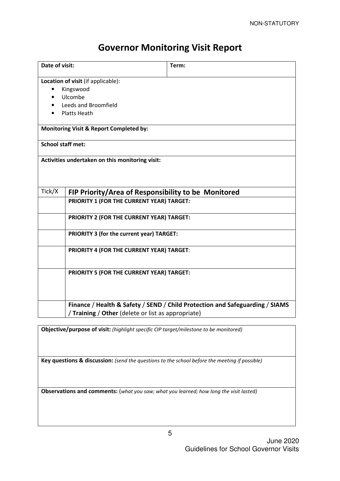# Governor Monitoring Visit Report

| Date of visit:                                     |                                                     | Term:                                                                        |  |  |  |
|----------------------------------------------------|-----------------------------------------------------|------------------------------------------------------------------------------|--|--|--|
|                                                    | Location of visit (if applicable):                  |                                                                              |  |  |  |
|                                                    | Kingswood                                           |                                                                              |  |  |  |
|                                                    | Ulcombe                                             |                                                                              |  |  |  |
|                                                    | Leeds and Broomfield                                |                                                                              |  |  |  |
| <b>Platts Heath</b>                                |                                                     |                                                                              |  |  |  |
| <b>Monitoring Visit &amp; Report Completed by:</b> |                                                     |                                                                              |  |  |  |
| <b>School staff met:</b>                           |                                                     |                                                                              |  |  |  |
| Activities undertaken on this monitoring visit:    |                                                     |                                                                              |  |  |  |
| Tick/X                                             | FIP Priority/Area of Responsibility to be Monitored |                                                                              |  |  |  |
|                                                    | PRIORITY 1 (FOR THE CURRENT YEAR) TARGET:           |                                                                              |  |  |  |
|                                                    | <b>PRIORITY 2 (FOR THE CURRENT YEAR) TARGET:</b>    |                                                                              |  |  |  |
|                                                    | PRIORITY 3 (for the current year) TARGET:           |                                                                              |  |  |  |
|                                                    | PRIORITY 4 (FOR THE CURRENT YEAR) TARGET:           |                                                                              |  |  |  |
|                                                    | PRIORITY 5 (FOR THE CURRENT YEAR) TARGET:           |                                                                              |  |  |  |
|                                                    | Training / Other (delete or list as appropriate)    | Finance / Health & Safety / SEND / Child Protection and Safeguarding / SIAMS |  |  |  |

Objective/purpose of visit: (highlight specific CIP target/milestone to be monitored)

Key questions & discussion: (send the questions to the school before the meeting if possible)

Observations and comments: (what you saw; what you learned; how long the visit lasted)